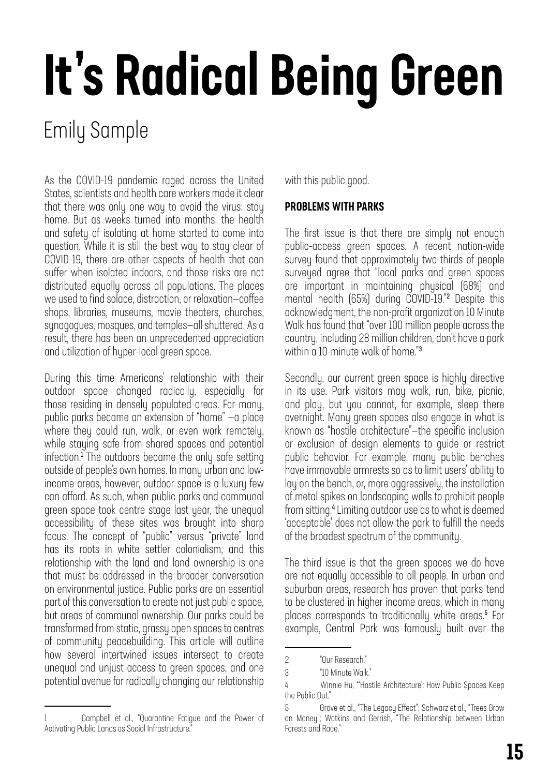# It's Radical Being Green

### Emily Sample

As the COVID-19 pandemic raged across the United States, scientists and health care workers made it clear that there was only one way to avoid the virus: stay home. But as weeks turned into months, the health and safety of isolating at home started to come into question. While it is still the best way to stay clear of COVID-19, there are other aspects of health that can suffer when isolated indoors, and those risks are not distributed equally across all populations. The places we used to find solace, distraction, or relaxation—coffee shops, libraries, museums, movie theaters, churches, synagogues, mosques, and temples—all shuttered. As a result, there has been an unprecedented appreciation and utilization of hyper-local green space.

During this time Americans' relationship with their outdoor space changed radically, especially for those residing in densely populated areas. For many, public parks became an extension of "home" —a place where they could run, walk, or even work remotely, while staying safe from shared spaces and potential infection.<sup>1</sup> The outdoors became the only safe setting outside of people's own homes. In many urban and lowincome areas, however, outdoor space is a luxury few can afford. As such, when public parks and communal green space took centre stage last year, the unequal accessibility of these sites was brought into sharp focus. The concept of "public" versus "private" land has its roots in white settler colonialism, and this relationship with the land and land ownership is one that must be addressed in the broader conversation on environmental justice. Public parks are an essential part of this conversation to create not just public space, but areas of communal ownership. Our parks could be transformed from static, grassy open spaces to centres of community peacebuilding. This article will outline how several intertwined issues intersect to create unequal and unjust access to green spaces, and one potential avenue for radically changing our relationship

with this public good.

### PROBLEMS WITH PARKS

The first issue is that there are simply not enough public-access green spaces. A recent nation-wide survey found that approximately two-thirds of people surveyed agree that "local parks and green spaces are important in maintaining physical (68%) and mental health (65%) during COVID-19."<sup>2</sup> Despite this acknowledgment, the non-profit organization 10 Minute Walk has found that "over 100 million people across the country, including 28 million children, don't have a park within a 10-minute walk of home."<sup>3</sup>

Secondly, our current green space is highly directive in its use. Park visitors may walk, run, bike, picnic, and play, but you cannot, for example, sleep there overnight. Many green spaces also engage in what is known as "hostile architecture"—the specific inclusion or exclusion of design elements to guide or restrict public behavior. For example, many public benches have immovable armrests so as to limit users' ability to lay on the bench, or, more aggressively, the installation of metal spikes on landscaping walls to prohibit people from sitting.<sup>4</sup> Limiting outdoor use as to what is deemed 'acceptable' does not allow the park to fulfill the needs of the broadest spectrum of the community.

The third issue is that the green spaces we do have are not equally accessible to all people. In urban and suburban areas, research has proven that parks tend to be clustered in higher income areas, which in many places corresponds to traditionally white areas.<sup>5</sup> For example, Central Park was famously built over the

<sup>2 &</sup>quot;Our Research."

<sup>3 &</sup>quot;10 Minute Walk."

<sup>4</sup> Winnie Hu, "'Hostile Architecture': How Public Spaces Keep the Public Out."

<sup>5</sup> Grove et al., "The Legacy Effect"; Schwarz et al., "Trees Grow on Money"; Watkins and Gerrish, "The Relationship between Urban Forests and Race."

Campbell et al., "Quarantine Fatique and the Power of Activating Public Lands as Social Infrastructure."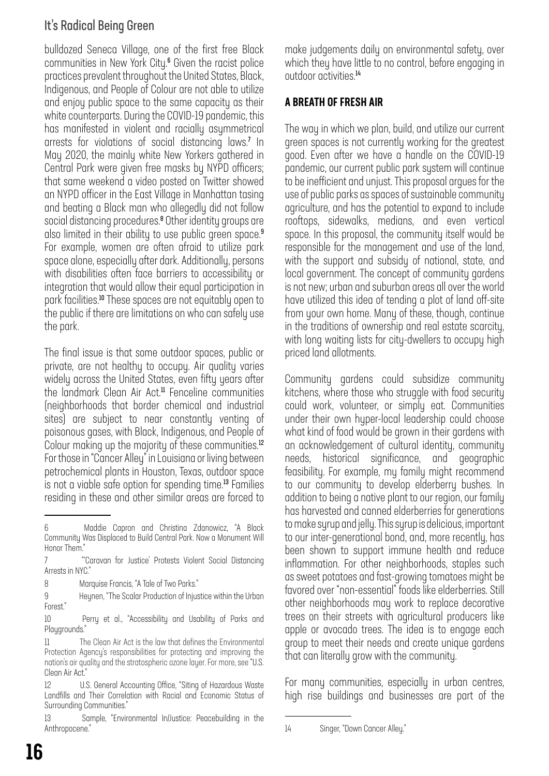### It's Radical Being Green

bulldozed Seneca Village, one of the first free Black communities in New York City.<sup>6</sup> Given the racist police practices prevalent throughout the United States, Black, Indigenous, and People of Colour are not able to utilize and enjoy public space to the same capacity as their white counterparts. During the COVID-19 pandemic, this has manifested in violent and racially asymmetrical arrests for violations of social distancing laws.<sup>7</sup> In May 2020, the mainly white New Yorkers gathered in Central Park were given free masks by NYPD officers; that same weekend a video posted on Twitter showed an NYPD officer in the East Village in Manhattan tasing and beating a Black man who allegedly did not follow social distancing procedures.<sup>8</sup> Other identity groups are also limited in their ability to use public green space.<sup>9</sup> For example, women are often afraid to utilize park space alone, especially after dark. Additionally, persons with disabilities often face barriers to accessibility or integration that would allow their equal participation in park facilities.<sup>10</sup> These spaces are not equitably open to the public if there are limitations on who can safely use the park.

The final issue is that some outdoor spaces, public or private, are not healthy to occupy. Air quality varies widely across the United States, even fifty years after the landmark Clean Air Act.<sup>11</sup> Fenceline communities (neighborhoods that border chemical and industrial sites) are subject to near constantly venting of poisonous gases, with Black, Indigenous, and People of Colour making up the majority of these communities.<sup>12</sup> For those in "Cancer Alley" in Louisiana or living between petrochemical plants in Houston, Texas, outdoor space is not a viable safe option for spending time.<sup>13</sup> Families residing in these and other similar areas are forced to

13 Sample, "Environmental In/Justice: Peacebuilding in the Anthropocene."

make judgements daily on environmental safety, over which they have little to no control, before engaging in outdoor activities.<sup>14</sup>

### A BREATH OF FRESH AIR

The way in which we plan, build, and utilize our current green spaces is not currently working for the greatest good. Even after we have a handle on the COVID-19 pandemic, our current public park system will continue to be inefficient and unjust. This proposal argues for the use of public parks as spaces of sustainable community agriculture, and has the potential to expand to include rooftops, sidewalks, medians, and even vertical space. In this proposal, the community itself would be responsible for the management and use of the land, with the support and subsidy of national, state, and local government. The concept of community gardens is not new; urban and suburban areas all over the world have utilized this idea of tending a plot of land off-site from your own home. Many of these, though, continue in the traditions of ownership and real estate scarcity, with long waiting lists for city-dwellers to occupy high priced land allotments.

Community gardens could subsidize community kitchens, where those who struggle with food security could work, volunteer, or simply eat. Communities under their own hyper-local leadership could choose what kind of food would be grown in their gardens with an acknowledgement of cultural identity, community needs, historical significance, and geographic feasibility. For example, my family might recommend to our community to develop elderberry bushes. In addition to being a native plant to our region, our family has harvested and canned elderberries for generations to make syrup and jelly. This syrup is delicious, important to our inter-generational bond, and, more recently, has been shown to support immune health and reduce inflammation. For other neighborhoods, staples such as sweet potatoes and fast-growing tomatoes might be favored over "non-essential" foods like elderberries. Still other neighborhoods may work to replace decorative trees on their streets with agricultural producers like apple or avocado trees. The idea is to engage each group to meet their needs and create unique gardens that can literally grow with the community.

For many communities, especially in urban centres, high rise buildings and businesses are part of the

<sup>6</sup> Maddie Capron and Christina Zdanowicz, "A Black Community Was Displaced to Build Central Park. Now a Monument Will Honor Them."

<sup>7 &</sup>quot;'Caravan for Justice' Protests Violent Social Distancing Arrests in NYC."

<sup>8</sup> Marquise Francis, "A Tale of Two Parks."

<sup>9</sup> Heynen, "The Scalar Production of Injustice within the Urban Forest."

<sup>10</sup> Perry et al., "Accessibility and Usability of Parks and Playgrounds."

<sup>11</sup> The Clean Air Act is the law that defines the Environmental Protection Agency's responsibilities for protecting and improving the nation's air quality and the stratospheric ozone layer. For more, see "U.S. Clean Air Act."

<sup>12</sup> U.S. General Accounting Office, "Siting of Hazardous Waste Landfills and Their Correlation with Racial and Economic Status of Surrounding Communities."

<sup>14</sup> Singer, "Down Cancer Alley."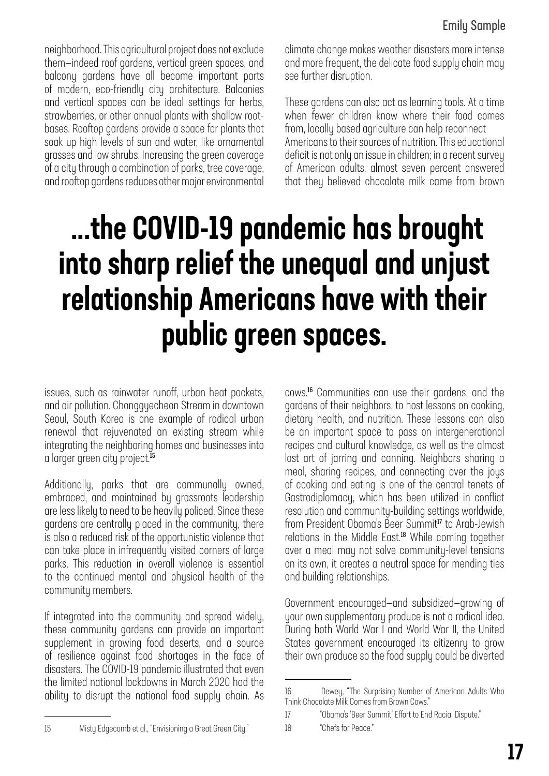neighborhood. This agricultural project does not exclude them—indeed roof gardens, vertical green spaces, and balcony gardens have all become important parts of modern, eco-friendly city architecture. Balconies and vertical spaces can be ideal settings for herbs, strawberries, or other annual plants with shallow rootbases. Rooftop gardens provide a space for plants that soak up high levels of sun and water, like ornamental grasses and low shrubs. Increasing the green coverage of a city through a combination of parks, tree coverage, and rooftop gardens reduces other major environmental

climate change makes weather disasters more intense and more frequent, the delicate food supply chain may see further disruption.

These gardens can also act as learning tools. At a time when fewer children know where their food comes from, locally based agriculture can help reconnect Americans to their sources of nutrition. This educational deficit is not only an issue in children; in a recent survey of American adults, almost seven percent answered that they believed chocolate milk came from brown

## ...the COVID-19 pandemic has brought into sharp relief the unequal and unjust relationship Americans have with their public green spaces.

issues, such as rainwater runoff, urban heat pockets, and air pollution. Chonggyecheon Stream in downtown Seoul, South Korea is one example of radical urban renewal that rejuvenated an existing stream while integrating the neighboring homes and businesses into a larger green city project.<sup>15</sup>

Additionally, parks that are communally owned, embraced, and maintained by grassroots leadership are less likely to need to be heavily policed. Since these gardens are centrally placed in the community, there is also a reduced risk of the opportunistic violence that can take place in infrequently visited corners of large parks. This reduction in overall violence is essential to the continued mental and physical health of the community members.

If integrated into the community and spread widely, these community gardens can provide an important supplement in growing food deserts, and a source of resilience against food shortages in the face of disasters. The COVID-19 pandemic illustrated that even the limited national lockdowns in March 2020 had the ability to disrupt the national food supply chain. As cows.<sup>16</sup> Communities can use their gardens, and the gardens of their neighbors, to host lessons on cooking, dietary health, and nutrition. These lessons can also be an important space to pass on intergenerational recipes and cultural knowledge, as well as the almost lost art of jarring and canning. Neighbors sharing a meal, sharing recipes, and connecting over the joys of cooking and eating is one of the central tenets of Gastrodiplomacy, which has been utilized in conflict resolution and community-building settings worldwide, from President Obama's Beer Summit<sup>17</sup> to Arab-Jewish relations in the Middle East.<sup>18</sup> While coming together over a meal may not solve community-level tensions on its own, it creates a neutral space for mending ties and building relationships.

Government encouraged—and subsidized—growing of your own supplementary produce is not a radical idea. During both World War I and World War II, the United States government encouraged its citizenry to grow their own produce so the food supply could be diverted

<sup>16</sup> Dewey, "The Surprising Number of American Adults Who Think Chocolate Milk Comes from Brown Cows."

<sup>17 &</sup>quot;Obama's 'Beer Summit' Effort to End Racial Dispute."

<sup>18 &</sup>quot;Chefs for Peace."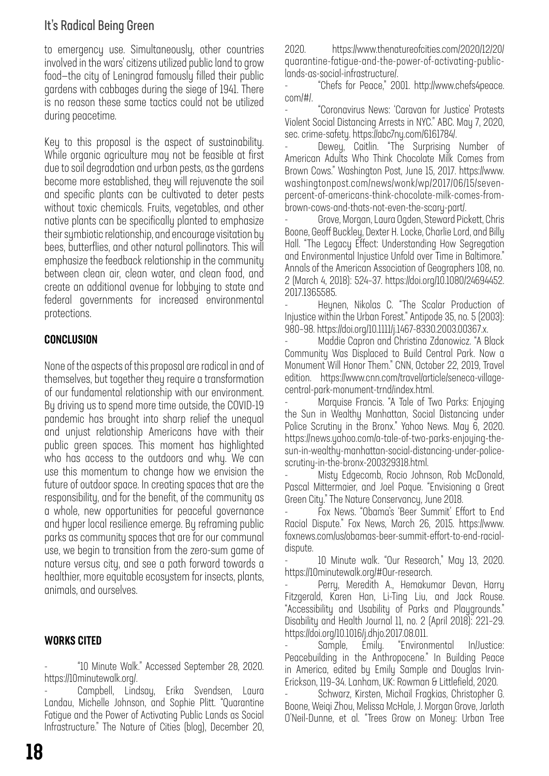### It's Radical Being Green

to emergency use. Simultaneously, other countries involved in the wars' citizens utilized public land to grow food—the city of Leningrad famously filled their public gardens with cabbages during the siege of 1941. There is no reason these same tactics could not be utilized during peacetime.

Key to this proposal is the aspect of sustainability. While organic agriculture may not be feasible at first due to soil degradation and urban pests, as the gardens become more established, they will rejuvenate the soil and specific plants can be cultivated to deter pests without toxic chemicals. Fruits, vegetables, and other native plants can be specifically planted to emphasize their symbiotic relationship, and encourage visitation by bees, butterflies, and other natural pollinators. This will emphasize the feedback relationship in the community between clean air, clean water, and clean food, and create an additional avenue for lobbying to state and federal governments for increased environmental protections.

### CONCLUSION

None of the aspects of this proposal are radical in and of themselves, but together they require a transformation of our fundamental relationship with our environment. By driving us to spend more time outside, the COVID-19 pandemic has brought into sharp relief the unequal and unjust relationship Americans have with their public green spaces. This moment has highlighted who has access to the outdoors and why. We can use this momentum to change how we envision the future of outdoor space. In creating spaces that are the responsibility, and for the benefit, of the community as a whole, new opportunities for peaceful governance and hyper local resilience emerge. By reframing public parks as community spaces that are for our communal use, we begin to transition from the zero-sum game of nature versus city, and see a path forward towards a healthier, more equitable ecosystem for insects, plants, animals, and ourselves.

#### WORKS CITED

- "10 Minute Walk." Accessed September 28, 2020. https://10minutewalk.org/.

Campbell, Lindsay, Erika Svendsen, Laura Landau, Michelle Johnson, and Sophie Plitt. "Quarantine Fatigue and the Power of Activating Public Lands as Social Infrastructure." The Nature of Cities (blog), December 20, 2020. https://www.thenatureofcities.com/2020/12/20/ quarantine-fatigue-and-the-power-of-activating-publiclands-as-social-infrastructure/.

- "Chefs for Peace," 2001. http://www.chefs4peace. com/#/.

- "Coronavirus News: 'Caravan for Justice' Protests Violent Social Distancing Arrests in NYC." ABC. May 7, 2020, sec. crime-safety. https://abc7ny.com/6161784/.

Dewey, Caitlin. "The Surprising Number of American Adults Who Think Chocolate Milk Comes from Brown Cows." Washington Post, June 15, 2017. https://www. washingtonpost.com/news/wonk/wp/2017/06/15/sevenpercent-of-americans-think-chocolate-milk-comes-frombrown-cows-and-thats-not-even-the-scary-part/.

- Grove, Morgan, Laura Ogden, Steward Pickett, Chris Boone, Geoff Buckley, Dexter H. Locke, Charlie Lord, and Billy Hall. "The Legacy Effect: Understanding How Segregation and Environmental Injustice Unfold over Time in Baltimore." Annals of the American Association of Geographers 108, no. 2 (March 4, 2018): 524–37. https://doi.org/10.1080/24694452. 2017.1365585.

Heynen, Nikolas C. "The Scalar Production of Injustice within the Urban Forest." Antipode 35, no. 5 (2003): 980–98. https://doi.org/10.1111/j.1467-8330.2003.00367.x.

Maddie Capron and Christina Zdanowicz. "A Black Community Was Displaced to Build Central Park. Now a Monument Will Honor Them." CNN, October 22, 2019, Travel edition. https://www.cnn.com/travel/article/seneca-villagecentral-park-monument-trnd/index.html.

Marquise Francis. "A Tale of Two Parks: Enjoying the Sun in Wealthy Manhattan, Social Distancing under Police Scrutiny in the Bronx." Yahoo News. May 6, 2020. https://news.yahoo.com/a-tale-of-two-parks-enjoying-thesun-in-wealthy-manhattan-social-distancing-under-policescrutiny-in-the-bronx-200329318.html.

- Misty Edgecomb, Rocio Johnson, Rob McDonald, Pascal Mittermaier, and Joel Paque. "Envisioning a Great Green City." The Nature Conservancy, June 2018.

- Fox News. "Obama's 'Beer Summit' Effort to End Racial Dispute." Fox News, March 26, 2015. https://www. foxnews.com/us/obamas-beer-summit-effort-to-end-racialdispute.

- 10 Minute walk. "Our Research," May 13, 2020. https://10minutewalk.org/#Our-research.

Perry, Meredith A., Hemakumar Devan, Harry Fitzgerald, Karen Han, Li-Ting Liu, and Jack Rouse. "Accessibility and Usability of Parks and Playgrounds." Disability and Health Journal 11, no. 2 (April 2018): 221–29. https://doi.org/10.1016/j.dhjo.2017.08.011.

Sample, Emily. "Environmental In/Justice: Peacebuilding in the Anthropocene." In Building Peace in America, edited by Emily Sample and Douglas Irvin-Erickson, 119–34. Lanham, UK: Rowman & Littlefield, 2020.

- Schwarz, Kirsten, Michail Fragkias, Christopher G. Boone, Weiqi Zhou, Melissa McHale, J. Morgan Grove, Jarlath O'Neil-Dunne, et al. "Trees Grow on Money: Urban Tree